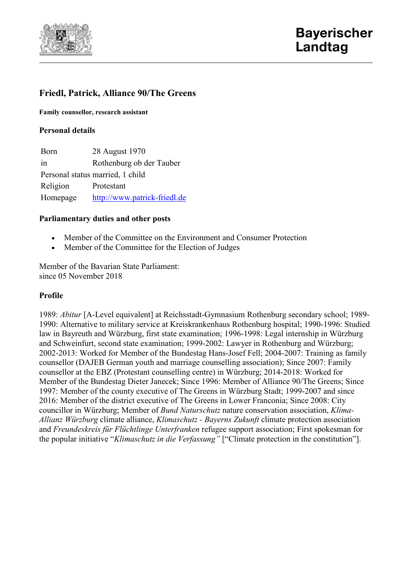

# **Friedl, Patrick, Alliance 90/The Greens**

**Family counsellor, research assistant**

## **Personal details**

Born 28 August 1970 in Rothenburg ob der Tauber Personal status married, 1 child Religion Protestant Homepage [http://www.patrick-friedl.de](http://www.patrick-friedl.de/)

### **Parliamentary duties and other posts**

- Member of the Committee on the Environment and Consumer Protection
- Member of the Committee for the Election of Judges

Member of the Bavarian State Parliament: since 05 November 2018

#### **Profile**

1989: *Abitur* [A-Level equivalent] at Reichsstadt-Gymnasium Rothenburg secondary school; 1989- 1990: Alternative to military service at Kreiskrankenhaus Rothenburg hospital; 1990-1996: Studied law in Bayreuth and Würzburg, first state examination; 1996-1998: Legal internship in Würzburg and Schweinfurt, second state examination; 1999-2002: Lawyer in Rothenburg and Würzburg; 2002-2013: Worked for Member of the Bundestag Hans-Josef Fell; 2004-2007: Training as family counsellor (DAJEB German youth and marriage counselling association); Since 2007: Family counsellor at the EBZ (Protestant counselling centre) in Würzburg; 2014-2018: Worked for Member of the Bundestag Dieter Janecek; Since 1996: Member of Alliance 90/The Greens; Since 1997: Member of the county executive of The Greens in Würzburg Stadt; 1999-2007 and since 2016: Member of the district executive of The Greens in Lower Franconia; Since 2008: City councillor in Würzburg; Member of *Bund Naturschutz* nature conservation association, *Klima-Allianz Würzburg* climate alliance, *Klimaschutz - Bayerns Zukunft* climate protection association and *Freundeskreis für Flüchtlinge Unterfranken* refugee support association; First spokesman for the popular initiative "*Klimaschutz in die Verfassung"* ["Climate protection in the constitution"].